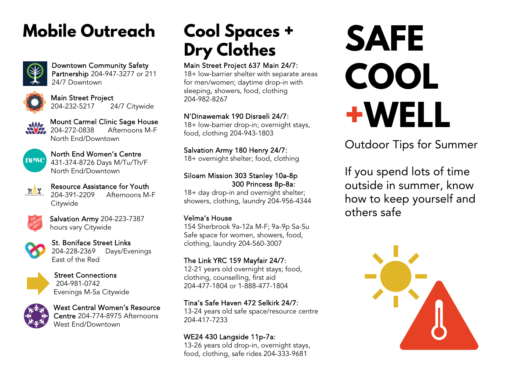### **Mobile Outreach**



Downtown Community Safety Partnership 204-947-3277 or 211 24/7 Downtown



Main Street Project 204-232-5217 24/7 Citywide

Mount Carmel Clinic Sage House 204-272-0838 Afternoons M-F North End/Downtown



North End Women's Centre 431-374-8726 Days M/Tu/Th/F North End/Downtown



Resource Assistance for Youth 204-391-2209 Afternoons M-F **Citywide** 



Salvation Army 204-223-7387 hours vary Citywide



St. Boniface Street Links 204-228-2369 Days/Evenings East of the Red



Street Connections 204-981-0742 Evenings M-Sa Citywide



West Central Women's Resource Centre 204-774-8975 Afternoons West End/Downtown

### **Cool Spaces + Dry Clothes**

#### Main Street Project 637 Main 24/7:

18+ low-barrier shelter with separate areas for men/women; daytime drop-in with sleeping, showers, food, clothing 204-982-8267

#### N'Dinawemak 190 Disraeli 24/7:

18+ low-barrier drop-in; overnight stays, food, clothing 204-943-1803

Salvation Army 180 Henry 24/7:

18+ overnight shelter; food, clothing

#### Siloam Mission 303 Stanley 10a-8p 300 Princess 8p-8a:

18+ day drop-in and overnight shelter; showers, clothing, laundry 204-956-4344

#### Velma's House

154 Sherbrook 9a-12a M-F; 9a-9p Sa-Su Safe space for women, showers, food, clothing, laundry 204-560-3007

#### The Link YRC 159 Mayfair 24/7:

12-21 years old overnight stays; food, clothing, counselling, first aid 204-477-1804 or 1-888-477-1804

#### Tina's Safe Haven 472 Selkirk 24/7:

13-24 years old safe space/resource centre 204-417-7233

#### WE24 430 Langside 11p-7a:

13-26 years old drop-in, overnight stays, food, clothing, safe rides 204-333-9681

# **SAFE COOL +WELL**

Outdoor Tips for Summer

If you spend lots of time outside in summer, know how to keep yourself and others safe